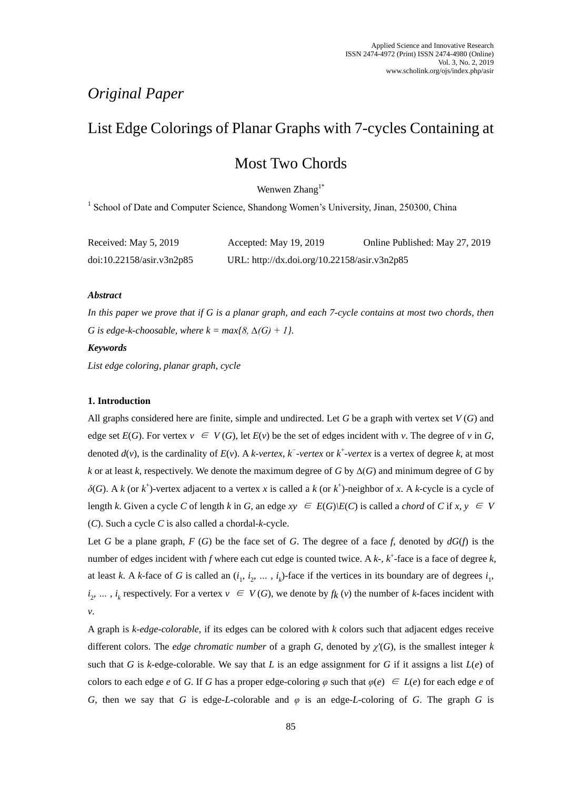## *Original Paper*

# List Edge Colorings of Planar Graphs with 7-cycles Containing at

## Most Two Chords

Wenwen Zhang<sup>1\*</sup>

<sup>1</sup> School of Date and Computer Science, Shandong Women's University, Jinan, 250300, China

| Received: May 5, 2019     | Accepted: May 19, 2019                       | Online Published: May 27, 2019 |
|---------------------------|----------------------------------------------|--------------------------------|
| doi:10.22158/asir.v3n2p85 | URL: http://dx.doi.org/10.22158/asir.v3n2p85 |                                |

## *Abstract*

*In this paper we prove that if G is a planar graph, and each 7-cycle contains at most two chords, then G* is edge-k-choosable, where  $k = max\{8, \Delta(G) + 1\}$ .

## *Keywords*

*List edge coloring, planar graph, cycle*

## **1. Introduction**

All graphs considered here are finite, simple and undirected. Let *G* be a graph with vertex set *V* (*G*) and edge set  $E(G)$ . For vertex  $v \in V(G)$ , let  $E(v)$  be the set of edges incident with *v*. The degree of *v* in *G*, denoted  $d(v)$ , is the cardinality of  $E(v)$ . A *k-vertex*,  $k^-$ -*vertex* or  $k^+$ -*vertex* is a vertex of degree  $k$ , at most *k* or at least *k*, respectively. We denote the maximum degree of *G* by ∆(*G*) and minimum degree of *G* by  $\delta(G)$ . A *k* (or  $k^+$ )-vertex adjacent to a vertex *x* is called a *k* (or  $k^+$ )-neighbor of *x*. A *k*-cycle is a cycle of length *k*. Given a cycle *C* of length *k* in *G*, an edge  $xy \in E(G)|E(C)$  is called a *chord* of *C* if  $x, y \in V$ (*C*). Such a cycle *C* is also called a chordal-*k*-cycle.

Let *G* be a plane graph, *F* (*G*) be the face set of *G*. The degree of a face *f*, denoted by  $dG(f)$  is the number of edges incident with  $f$  where each cut edge is counted twice. A  $k$ -,  $k$ <sup>+</sup>-face is a face of degree  $k$ , at least *k*. A *k*-face of *G* is called an  $(i_1, i_2, \ldots, i_k)$ -face if the vertices in its boundary are of degrees  $i_1$ ,  $i_2, \ldots, i_k$  respectively. For a vertex  $v \in V(G)$ , we denote by  $f_k(v)$  the number of *k*-faces incident with *v*.

A graph is *k-edge-colorable*, if its edges can be colored with *k* colors such that adjacent edges receive different colors. The *edge chromatic number* of a graph *G*, denoted by *χ'*(*G*), is the smallest integer *k*  such that *G* is *k*-edge-colorable. We say that *L* is an edge assignment for *G* if it assigns a list  $L(e)$  of colors to each edge *e* of *G*. If *G* has a proper edge-coloring  $\varphi$  such that  $\varphi(e) \in L(e)$  for each edge *e* of *G*, then we say that *G* is edge-*L*-colorable and *φ* is an edge-*L*-coloring of *G*. The graph *G* is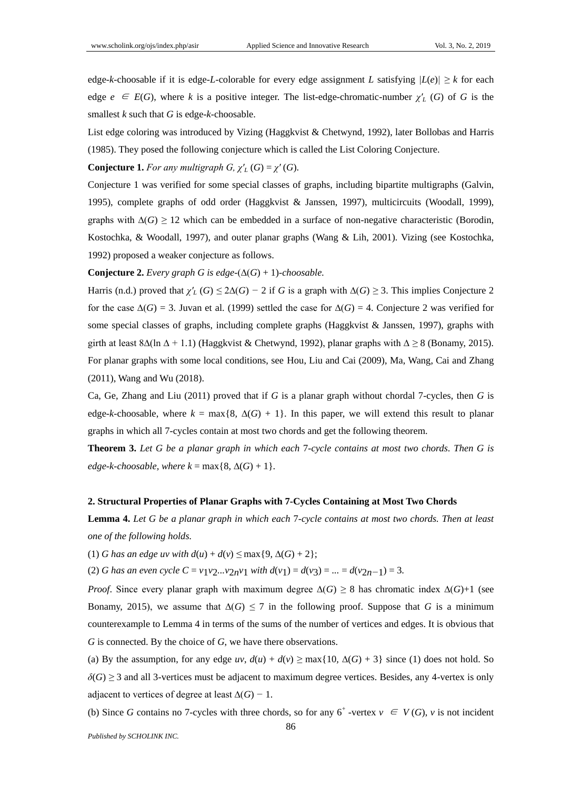edge-*k*-choosable if it is edge-*L*-colorable for every edge assignment *L* satisfying  $|L(e)| \geq k$  for each edge  $e \in E(G)$ , where *k* is a positive integer. The list-edge-chromatic-number  $\chi'_{L}(G)$  of *G* is the smallest *k* such that *G* is edge-*k*-choosable.

List edge coloring was introduced by Vizing (Haggkvist & Chetwynd, 1992), later Bollobas and Harris (1985). They posed the following conjecture which is called the List Coloring Conjecture.

**Conjecture 1.** For any multigraph G,  $\chi'_{L}(G) = \chi'(G)$ .

Conjecture 1 was verified for some special classes of graphs, including bipartite multigraphs (Galvin, 1995), complete graphs of odd order (Haggkvist & Janssen, 1997), multicircuits (Woodall, 1999), graphs with  $\Delta(G) \geq 12$  which can be embedded in a surface of non-negative characteristic (Borodin, Kostochka, & Woodall, 1997), and outer planar graphs (Wang & Lih, 2001). Vizing (see Kostochka, 1992) proposed a weaker conjecture as follows.

**Conjecture 2.** *Every graph G is edge-*( $\Delta(G) + 1$ *)-choosable.* 

Harris (n.d.) proved that  $\chi'_{L}(G) \leq 2\Delta(G) - 2$  if *G* is a graph with  $\Delta(G) \geq 3$ . This implies Conjecture 2 for the case  $\Delta(G) = 3$ . Juvan et al. (1999) settled the case for  $\Delta(G) = 4$ . Conjecture 2 was verified for some special classes of graphs, including complete graphs (Haggkvist & Janssen, 1997), graphs with girth at least 8∆(ln ∆ + 1*.*1) (Haggkvist & Chetwynd, 1992), planar graphs with ∆ *≥* 8 (Bonamy, 2015). For planar graphs with some local conditions, see Hou, Liu and Cai (2009), Ma, Wang, Cai and Zhang (2011), Wang and Wu (2018).

Ca, Ge, Zhang and Liu (2011) proved that if *G* is a planar graph without chordal 7-cycles, then *G* is edge-*k*-choosable, where  $k = \max\{8, \Delta(G) + 1\}$ . In this paper, we will extend this result to planar graphs in which all 7-cycles contain at most two chords and get the following theorem.

**Theorem 3.** *Let G be a planar graph in which each* 7*-cycle contains at most two chords. Then G is edge-k-choosable, where k* = max $\{8, \Delta(G) + 1\}$ *.* 

#### **2. Structural Properties of Planar Graphs with 7-Cycles Containing at Most Two Chords**

**Lemma 4.** *Let G be a planar graph in which each* 7*-cycle contains at most two chords. Then at least one of the following holds.*

(1) *G* has an edge uv with  $d(u) + d(v)$  ≤ max{9, ∆(*G*) + 2};

(2) *G* has an even cycle  $C = v_1v_2...v_{2n}v_1$  *with*  $d(v_1) = d(v_3) = ... = d(v_{2n-1}) = 3$ .

*Proof.* Since every planar graph with maximum degree  $\Delta(G) \geq 8$  has chromatic index  $\Delta(G)+1$  (see Bonamy, 2015), we assume that  $\Delta(G) \le 7$  in the following proof. Suppose that *G* is a minimum counterexample to Lemma 4 in terms of the sums of the number of vertices and edges. It is obvious that *G* is connected. By the choice of *G*, we have there observations.

(a) By the assumption, for any edge  $uv$ ,  $d(u) + d(v) \ge \max\{10, \Delta(G) + 3\}$  since (1) does not hold. So  $\delta$ (*G*)  $\geq$  3 and all 3-vertices must be adjacent to maximum degree vertices. Besides, any 4-vertex is only adjacent to vertices of degree at least  $\Delta(G)$  – 1.

(b) Since *G* contains no 7-cycles with three chords, so for any  $6^+$ -vertex  $v \in V(G)$ , *v* is not incident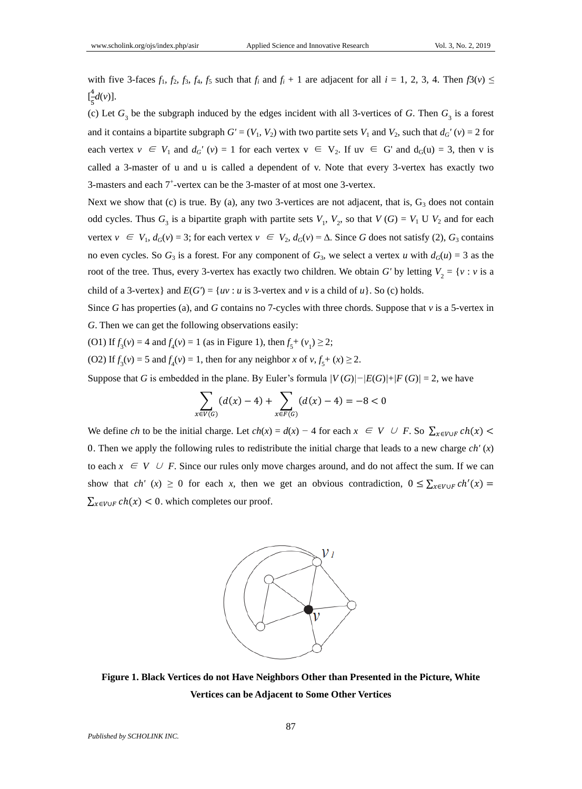with five 3-faces  $f_1$ ,  $f_2$ ,  $f_3$ ,  $f_4$ ,  $f_5$  such that  $f_i$  and  $f_i + 1$  are adjacent for all  $i = 1, 2, 3, 4$ . Then  $f_3(v) \le$  $\left[\frac{4}{5}\right]$  $\frac{d}{b}d(v)$ ].

(c) Let  $G_3$  be the subgraph induced by the edges incident with all 3-vertices of *G*. Then  $G_3$  is a forest and it contains a bipartite subgraph  $G' = (V_1, V_2)$  with two partite sets  $V_1$  and  $V_2$ , such that  $d_G'(v) = 2$  for each vertex  $v \in V_1$  and  $d_G' (v) = 1$  for each vertex  $v \in V_2$ . If  $uv \in G'$  and  $d_G(u) = 3$ , then v is called a 3-master of u and u is called a dependent of v. Note that every 3-vertex has exactly two 3-masters and each  $7^+$ -vertex can be the 3-master of at most one 3-vertex.

Next we show that (c) is true. By (a), any two 3-vertices are not adjacent, that is,  $G_3$  does not contain odd cycles. Thus  $G_3$  is a bipartite graph with partite sets  $V_1$ ,  $V_2$ , so that  $V(G) = V_1 \cup V_2$  and for each vertex  $v \in V_1$ ,  $d_G(v) = 3$ ; for each vertex  $v \in V_2$ ,  $d_G(v) = \Delta$ . Since *G* does not satisfy (2),  $G_3$  contains no even cycles. So  $G_3$  is a forest. For any component of  $G_3$ , we select a vertex *u* with  $d_G(u) = 3$  as the root of the tree. Thus, every 3-vertex has exactly two children. We obtain *G'* by letting  $V_2 = \{v : v \text{ is a }$ child of a 3-vertex} and  $E(G') = \{uv : u \text{ is } 3\text{-vertex and } v \text{ is a child of } u\}$ . So (c) holds.

Since *G* has properties (a), and *G* contains no 7-cycles with three chords. Suppose that *v* is a 5-vertex in *G*. Then we can get the following observations easily:

(O1) If  $f_3(v) = 4$  and  $f_4(v) = 1$  (as in Figure 1), then  $f_5^+(v_1) \ge 2$ ;

(O2) If  $f_3(v) = 5$  and  $f_4(v) = 1$ , then for any neighbor *x* of  $v, f_5 + (x) \ge 2$ .

Suppose that *G* is embedded in the plane. By Euler's formula  $\frac{V(G)}{-E(G) + F(G)} = 2$ , we have

$$
\sum_{x \in V(G)} (d(x) - 4) + \sum_{x \in F(G)} (d(x) - 4) = -8 < 0
$$

We define *ch* to be the initial charge. Let  $ch(x) = d(x) - 4$  for each  $x \in V \cup F$ . So  $\sum_{x \in V \cup F} ch(x)$ 0. Then we apply the following rules to redistribute the initial charge that leads to a new charge  $ch'(x)$ to each  $x \in V \cup F$ . Since our rules only move charges around, and do not affect the sum. If we can show that  $ch'(x) \ge 0$  for each *x*, then we get an obvious contradiction,  $0 \le \sum_{x \in V \cup F} ch'(x) =$  $\sum_{x \in V \cup F} ch(x) < 0$ . which completes our proof.



**Figure 1. Black Vertices do not Have Neighbors Other than Presented in the Picture, White Vertices can be Adjacent to Some Other Vertices**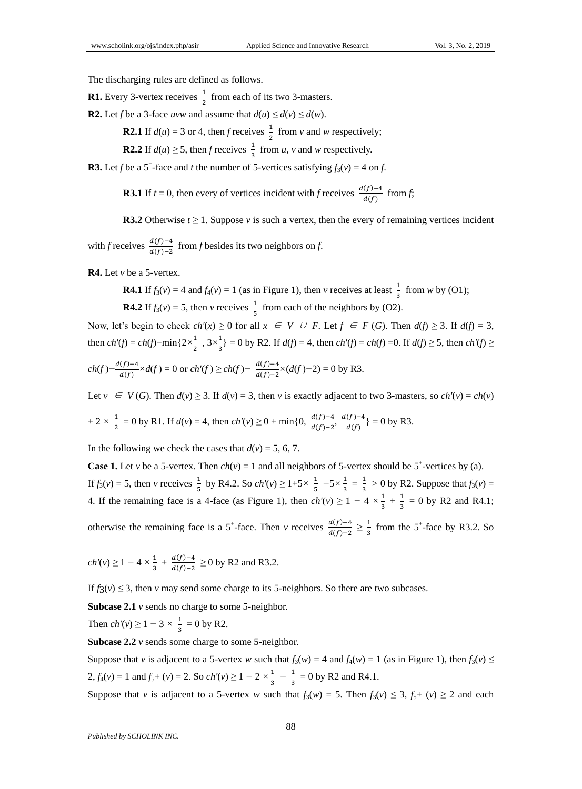The discharging rules are defined as follows.

**R1.** Every 3-vertex receives  $\frac{1}{2}$  from each of its two 3-masters.

**R2.** Let *f* be a 3-face *uvw* and assume that  $d(u) \leq d(v) \leq d(w)$ .

**R2.1** If  $d(u) = 3$  or 4, then *f* receives  $\frac{1}{2}$  from *v* and *w* respectively;

**R2.2** If  $d(u) \ge 5$ , then *f* receives  $\frac{1}{3}$  from *u*, *v* and *w* respectively.

**R3.** Let *f* be a 5<sup>+</sup>-face and *t* the number of 5-vertices satisfying  $f_3(v) = 4$  on *f*.

**R3.1** If *t* = 0, then every of vertices incident with *f* receives  $\frac{d(f)-4}{d(f)}$  from *f*;

**R3.2** Otherwise  $t \geq 1$ . Suppose v is such a vertex, then the every of remaining vertices incident

with *f* receives  $\frac{d(f)-4}{d(f)-2}$  from *f* besides its two neighbors on *f*.

**R4.** Let *v* be a 5-vertex.

**R4.1** If  $f_3(v) = 4$  and  $f_4(v) = 1$  (as in Figure 1), then *v* receives at least  $\frac{1}{3}$  from *w* by (O1);

**R4.2** If  $f_3(v) = 5$ , then *v* receives  $\frac{1}{5}$  from each of the neighbors by (O2).

Now, let's begin to check  $ch'(x) \ge 0$  for all  $x \in V \cup F$ . Let  $f \in F(G)$ . Then  $d(f) \ge 3$ . If  $d(f) = 3$ , then  $ch'(f) = ch(f) + min\{2 \times \frac{1}{2}\}$  $\frac{1}{2}$ ,  $3 \times \frac{1}{3}$  $\frac{1}{3}$ } = 0 by R2. If *d*(*f*) = 4, then *ch'*(*f*) = *ch*(*f*) =0. If *d*(*f*) ≥ 5, then *ch'*(*f*) ≥

$$
ch(f) - \frac{d(f) - 4}{d(f)} \times d(f) = 0 \text{ or } ch'(f) \ge ch(f) - \frac{d(f) - 4}{d(f) - 2} \times (d(f) - 2) = 0 \text{ by R3}.
$$

Let  $v \in V(G)$ . Then  $d(v) \ge 3$ . If  $d(v) = 3$ , then *v* is exactly adjacent to two 3-masters, so  $ch'(v) = ch(v)$ 

$$
+ 2 \times \frac{1}{2} = 0
$$
 by R1. If  $d(v) = 4$ , then  $ch'(v) \ge 0 + \min\{0, \frac{d(f)-4}{d(f)-2}, \frac{d(f)-4}{d(f)}\} = 0$  by R3.

In the following we check the cases that  $d(v) = 5$ , 6, 7.

**Case 1.** Let *v* be a 5-vertex. Then  $ch(v) = 1$  and all neighbors of 5-vertex should be 5<sup>+</sup>-vertices by (a). If  $f_3(v) = 5$ , then *v* receives  $\frac{1}{5}$  by R4.2. So  $ch'(v) \ge 1+5 \times \frac{1}{5}$  $\frac{1}{5}$   $-5 \times \frac{1}{3}$  $\frac{1}{3} = \frac{1}{3}$  $\frac{1}{3}$  > 0 by R2. Suppose that  $f_3(v)$  = 4. If the remaining face is a 4-face (as Figure 1), then  $ch'(v) \geq 1 - 4 \times \frac{1}{2}$  $\frac{1}{3} + \frac{1}{3}$  $\frac{1}{3}$  = 0 by R2 and R4.1;

otherwise the remaining face is a 5<sup>+</sup>-face. Then *v* receives  $\frac{d(f)-4}{d(f)-2} \ge \frac{1}{3}$  $\frac{1}{3}$  from the 5<sup>+</sup>-face by R3.2. So

$$
ch'(v) \ge 1 - 4 \times \frac{1}{3} + \frac{d(f) - 4}{d(f) - 2} \ge 0
$$
 by R2 and R3.2.

If  $f_3(v) \leq 3$ , then *v* may send some charge to its 5-neighbors. So there are two subcases.

**Subcase 2.1** *v* sends no charge to some 5-neighbor.

Then  $ch'(v) \geq 1 - 3 \times \frac{1}{2}$  $\frac{1}{3} = 0$  by R2.

**Subcase 2.2** *v* sends some charge to some 5-neighbor.

Suppose that *v* is adjacent to a 5-vertex *w* such that  $f_3(w) = 4$  and  $f_4(w) = 1$  (as in Figure 1), then  $f_3(v) \leq$  $2, f_4(v) = 1$  and  $f_5+(v) = 2$ . So  $ch'(v) \ge 1 - 2 \times \frac{1}{2}$  $\frac{1}{3} - \frac{1}{3}$  $\frac{1}{3}$  = 0 by R2 and R4.1.

Suppose that *v* is adjacent to a 5-vertex *w* such that  $f_3(w) = 5$ . Then  $f_3(v) \le 3$ ,  $f_5+(v) \ge 2$  and each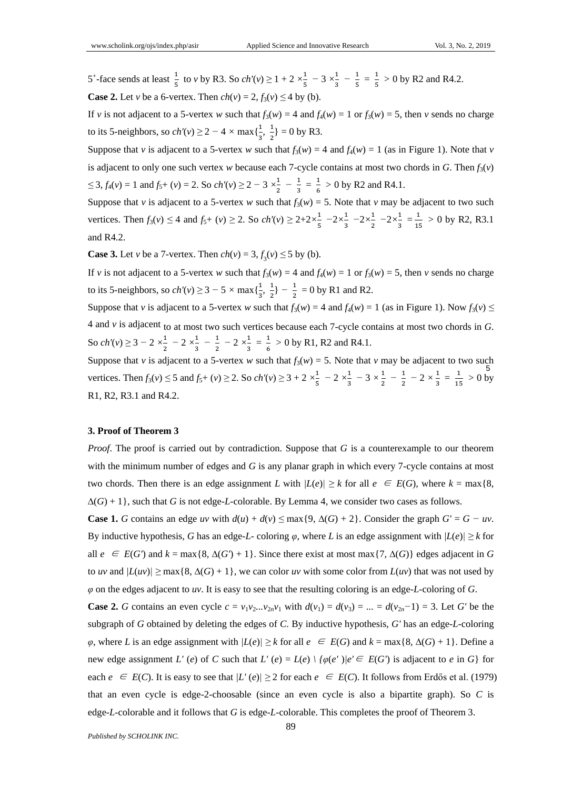5<sup>+</sup>-face sends at least  $\frac{1}{5}$  to *v* by R3. So *ch'*(*v*)  $\geq$  1 + 2  $\times \frac{1}{5}$  $\frac{1}{5}$  – 3  $\times \frac{1}{3}$  $\frac{1}{3} - \frac{1}{5}$  $\frac{1}{5} = \frac{1}{5}$  $\frac{1}{5} > 0$  by R2 and R4.2. **Case 2.** Let *v* be a 6-vertex. Then  $ch(v) = 2$ ,  $f_3(v) \le 4$  by (b).

If *v* is not adjacent to a 5-vertex *w* such that  $f_3(w) = 4$  and  $f_4(w) = 1$  or  $f_3(w) = 5$ , then *v* sends no charge to its 5-neighbors, so  $ch'(v) \ge 2 - 4 \times \max\{\frac{1}{2}\}$  $\frac{1}{3}$ ,  $\frac{1}{2}$  $\frac{1}{2}$  = 0 by R3.

Suppose that *v* is adjacent to a 5-vertex *w* such that  $f_3(w) = 4$  and  $f_4(w) = 1$  (as in Figure 1). Note that *v* is adjacent to only one such vertex *w* because each 7-cycle contains at most two chords in *G*. Then  $f_3(v)$  $\leq$  3, *f*<sub>4</sub>(*v*) = 1 and *f*<sub>5</sub>+ (*v*) = 2. So *ch'*(*v*) ≥ 2 − 3  $\times\frac{1}{2}$  $\frac{1}{2} - \frac{1}{3}$  $\frac{1}{3} = \frac{1}{6}$  $\frac{1}{6} > 0$  by R2 and R4.1.

Suppose that *v* is adjacent to a 5-vertex *w* such that  $f_3(w) = 5$ . Note that *v* may be adjacent to two such vertices. Then  $f_3(v) \leq 4$  and  $f_5+(v) \geq 2$ . So  $ch'(v) \geq 2+2\times\frac{1}{5}$  $rac{1}{5}$   $-2 \times \frac{1}{3}$  $\frac{1}{3}$   $-2 \times \frac{1}{2}$  $rac{1}{2}$   $-2 \times \frac{1}{3}$  $\frac{1}{3} = \frac{1}{1!}$  $\frac{1}{15} > 0$  by R2, R3.1 and R4.2.

**Case 3.** Let *v* be a 7-vertex. Then  $ch(v) = 3, f_3(v) \le 5$  by (b).

If *v* is not adjacent to a 5-vertex *w* such that  $f_3(w) = 4$  and  $f_4(w) = 1$  or  $f_3(w) = 5$ , then *v* sends no charge to its 5-neighbors, so  $ch'(v) \ge 3 - 5 \times \max\{\frac{1}{2}\}$  $\frac{1}{3}$ ,  $\frac{1}{2}$  $\frac{1}{2}$ } -  $\frac{1}{2}$  $\frac{1}{2}$  = 0 by R1 and R2.

Suppose that *v* is adjacent to a 5-vertex *w* such that  $f_3(w) = 4$  and  $f_4(w) = 1$  (as in Figure 1). Now  $f_3(v) \le$ 4 and *v* is adjacent to at most two such vertices because each 7-cycle contains at most two chords in *G*. So *ch'*(*v*) ≥ 3 − 2  $\times\frac{1}{2}$  $\frac{1}{2}$  – 2  $\times\frac{1}{3}$  $\frac{1}{3} - \frac{1}{2}$  $\frac{1}{2}$  – 2  $\times\frac{1}{3}$  $\frac{1}{3} = \frac{1}{6}$  $\frac{1}{6} > 0$  by R1, R2 and R4.1.

5 Suppose that *v* is adjacent to a 5-vertex *w* such that  $f_3(w) = 5$ . Note that *v* may be adjacent to two such vertices. Then  $f_3(v) \le 5$  and  $f_5+(v) \ge 2$ . So  $ch'(v) \ge 3 + 2 \times \frac{1}{5}$  $\frac{1}{5}$  – 2  $\times\frac{1}{3}$  $\frac{1}{3}$  – 3  $\times \frac{1}{2}$  $\frac{1}{2} - \frac{1}{2}$  $\frac{1}{2}$  – 2  $\times \frac{1}{3}$  $\frac{1}{3} = \frac{1}{1!}$  $\frac{1}{15} > 0$  by R1, R2, R3.1 and R4.2.

### **3. Proof of Theorem 3**

*Proof.* The proof is carried out by contradiction. Suppose that *G* is a counterexample to our theorem with the minimum number of edges and *G* is any planar graph in which every 7-cycle contains at most two chords. Then there is an edge assignment *L* with  $|L(e)| \geq k$  for all  $e \in E(G)$ , where  $k = \max\{8, \min\{k\}$ ∆(*G*) + 1}, such that *G* is not edge-*L*-colorable. By Lemma 4, we consider two cases as follows.

**Case 1.** *G* contains an edge *uv* with  $d(u) + d(v) \leq \max\{9, \Delta(G) + 2\}$ . Consider the graph  $G' = G - uv$ . By inductive hypothesis, *G* has an edge-*L*- coloring  $\varphi$ , where *L* is an edge assignment with  $|L(e)| \geq k$  for all  $e \in E(G')$  and  $k = \max\{8, \Delta(G') + 1\}$ . Since there exist at most max $\{7, \Delta(G)\}$  edges adjacent in G to *uv* and  $|L(uv)| \ge \max\{8, \Delta(G) + 1\}$ , we can color *uv* with some color from  $L(uv)$  that was not used by *φ* on the edges adjacent to *uv*. It is easy to see that the resulting coloring is an edge-*L*-coloring of *G*.

**Case 2.** G contains an even cycle  $c = v_1v_2...v_{2n}v_1$  with  $d(v_1) = d(v_2) = ... = d(v_{2n}-1) = 3$ . Let G' be the subgraph of *G* obtained by deleting the edges of *C*. By inductive hypothesis, *G'* has an edge-*L*-coloring *φ*, where *L* is an edge assignment with  $|L(e)| \geq k$  for all *e* ∈ *E*(*G*) and  $k = max\{8, \Delta(G) + 1\}$ . Define a new edge assignment *L'* (*e*) of *C* such that *L'* (*e*) = *L*(*e*)  $\setminus \{ \varphi(e') | e' \in E(G') \}$  is adjacent to *e* in *G*} for each  $e \in E(C)$ . It is easy to see that  $|L'(e)| \ge 2$  for each  $e \in E(C)$ . It follows from Erdős et al. (1979) that an even cycle is edge-2-choosable (since an even cycle is also a bipartite graph). So *C* is edge-*L*-colorable and it follows that *G* is edge-*L*-colorable. This completes the proof of Theorem 3.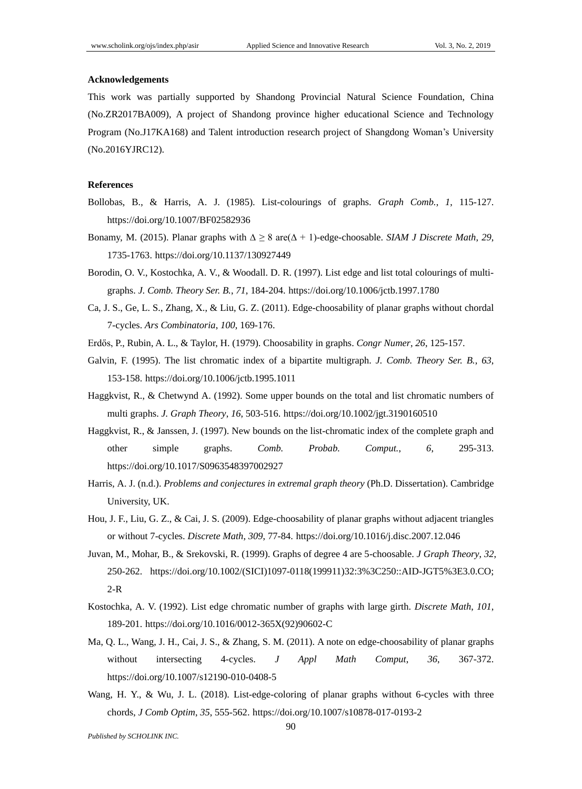#### **Acknowledgements**

This work was partially supported by Shandong Provincial Natural Science Foundation, China (No.ZR2017BA009), A project of Shandong province higher educational Science and Technology Program (No.J17KA168) and Talent introduction research project of Shangdong Woman's University (No.2016YJRC12).

### **References**

- Bollobas, B., & Harris, A. J. (1985). List-colourings of graphs. *Graph Comb.*, *1*, 115-127. https://doi.org/10.1007/BF02582936
- Bonamy, M. (2015). Planar graphs with ∆ *≥* 8 are(∆ + 1)-edge-choosable. *SIAM J Discrete Math*, *29*, 1735-1763. https://doi.org/10.1137/130927449
- Borodin, O. V., Kostochka, A. V., & Woodall. D. R. (1997). List edge and list total colourings of multigraphs. *J. Comb. Theory Ser. B.*, *71*, 184-204. https://doi.org/10.1006/jctb.1997.1780
- Ca, J. S., Ge, L. S., Zhang, X., & Liu, G. Z. (2011). Edge-choosability of planar graphs without chordal 7-cycles. *Ars Combinatoria*, *100*, 169-176.
- Erdős, P., Rubin, A. L., & Taylor, H. (1979). Choosability in graphs. *Congr Numer*, *26*, 125-157.
- Galvin, F. (1995). The list chromatic index of a bipartite multigraph. *J. Comb. Theory Ser. B.*, *63*, 153-158. https://doi.org/10.1006/jctb.1995.1011
- Haggkvist, R., & Chetwynd A. (1992). Some upper bounds on the total and list chromatic numbers of multi graphs. *J. Graph Theory*, *16*, 503-516. https://doi.org/10.1002/jgt.3190160510
- Haggkvist, R., & Janssen, J. (1997). New bounds on the list-chromatic index of the complete graph and other simple graphs. *Comb. Probab. Comput.*, *6*, 295-313. https://doi.org/10.1017/S0963548397002927
- Harris, A. J. (n.d.). *Problems and conjectures in extremal graph theory* (Ph.D. Dissertation). Cambridge University, UK.
- Hou, J. F., Liu, G. Z., & Cai, J. S. (2009). Edge-choosability of planar graphs without adjacent triangles or without 7-cycles. *Discrete Math*, *309*, 77-84. https://doi.org/10.1016/j.disc.2007.12.046
- Juvan, M., Mohar, B., & Srekovski, R. (1999). Graphs of degree 4 are 5-choosable. *J Graph Theory*, *32*, 250-262. https://doi.org/10.1002/(SICI)1097-0118(199911)32:3%3C250::AID-JGT5%3E3.0.CO; 2-R
- Kostochka, A. V. (1992). List edge chromatic number of graphs with large girth. *Discrete Math*, *101*, 189-201. https://doi.org/10.1016/0012-365X(92)90602-C
- Ma, Q. L., Wang, J. H., Cai, J. S., & Zhang, S. M. (2011). A note on edge-choosability of planar graphs without intersecting 4-cycles. *J Appl Math Comput*, *36*, 367-372. https://doi.org/10.1007/s12190-010-0408-5
- Wang, H. Y., & Wu, J. L. (2018). List-edge-coloring of planar graphs without 6-cycles with three chords, *J Comb Optim*, *35*, 555-562. https://doi.org/10.1007/s10878-017-0193-2